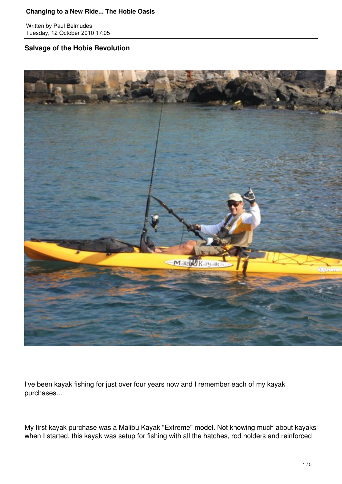Written by Paul Belmudes Tuesday, 12 October 2010 17:05

# **Salvage of the Hobie Revolution**



I've been kayak fishing for just over four years now and I remember each of my kayak purchases...

My first kayak purchase was a Malibu Kayak "Extreme" model. Not knowing much about kayaks when I started, this kayak was setup for fishing with all the hatches, rod holders and reinforced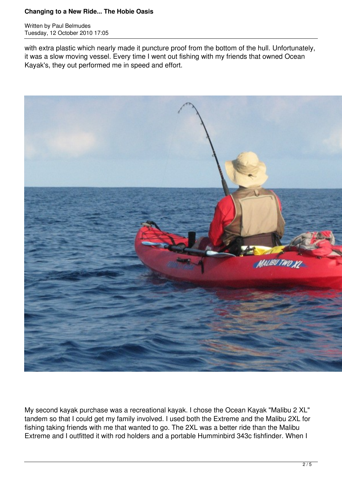Written by Paul Belmudes Tuesday, 12 October 2010 17:05

with extra plastic which nearly made it puncture proof from the bottom of the hull. Unfortunately, it was a slow moving vessel. Every time I went out fishing with my friends that owned Ocean Kayak's, they out performed me in speed and effort.



My second kayak purchase was a recreational kayak. I chose the Ocean Kayak "Malibu 2 XL" tandem so that I could get my family involved. I used both the Extreme and the Malibu 2XL for fishing taking friends with me that wanted to go. The 2XL was a better ride than the Malibu Extreme and I outfitted it with rod holders and a portable Humminbird 343c fishfinder. When I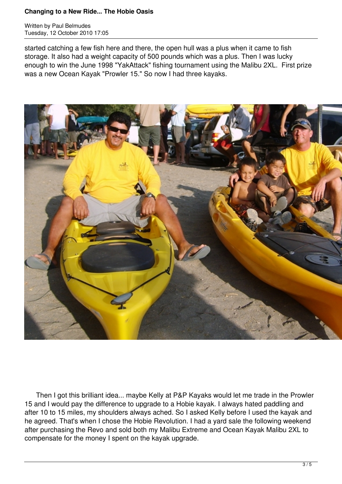Written by Paul Belmudes Tuesday, 12 October 2010 17:05

started catching a few fish here and there, the open hull was a plus when it came to fish storage. It also had a weight capacity of 500 pounds which was a plus. Then I was lucky enough to win the June 1998 "YakAttack" fishing tournament using the Malibu 2XL. First prize was a new Ocean Kayak "Prowler 15." So now I had three kayaks.



 Then I got this brilliant idea... maybe Kelly at P&P Kayaks would let me trade in the Prowler 15 and I would pay the difference to upgrade to a Hobie kayak. I always hated paddling and after 10 to 15 miles, my shoulders always ached. So I asked Kelly before I used the kayak and he agreed. That's when I chose the Hobie Revolution. I had a yard sale the following weekend after purchasing the Revo and sold both my Malibu Extreme and Ocean Kayak Malibu 2XL to compensate for the money I spent on the kayak upgrade.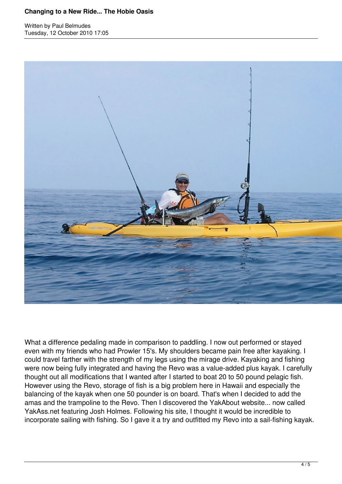Written by Paul Belmudes Tuesday, 12 October 2010 17:05



What a difference pedaling made in comparison to paddling. I now out performed or stayed even with my friends who had Prowler 15's. My shoulders became pain free after kayaking. I could travel farther with the strength of my legs using the mirage drive. Kayaking and fishing were now being fully integrated and having the Revo was a value-added plus kayak. I carefully thought out all modifications that I wanted after I started to boat 20 to 50 pound pelagic fish. However using the Revo, storage of fish is a big problem here in Hawaii and especially the balancing of the kayak when one 50 pounder is on board. That's when I decided to add the amas and the trampoline to the Revo. Then I discovered the YakAbout website... now called YakAss.net featuring Josh Holmes. Following his site, I thought it would be incredible to incorporate sailing with fishing. So I gave it a try and outfitted my Revo into a sail-fishing kayak.